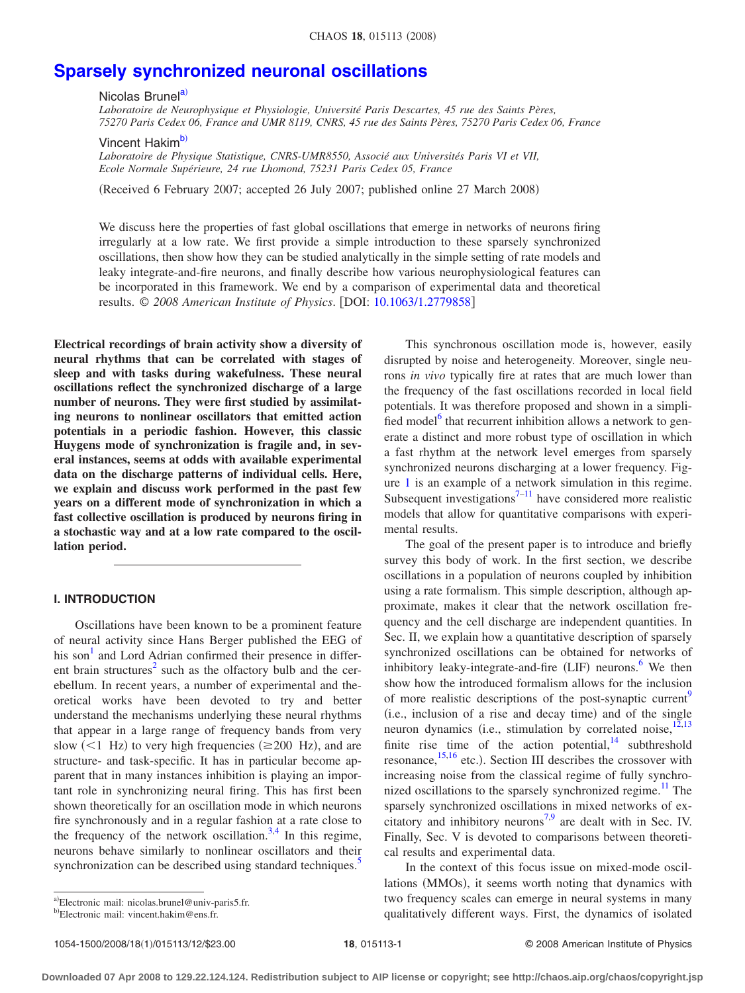# **[Sparsely synchronized neuronal oscillations](http://dx.doi.org/10.1063/1.2779858)**

Nico[la](#page-0-0)s Brunel<sup>a)</sup>

*Laboratoire de Neurophysique et Physiologie, Université Paris Descartes, 45 rue des Saints Pères, 75270 Paris Cedex 06, France and UMR 8119, CNRS, 45 rue des Saints Pères, 75270 Paris Cedex 06, France*

Vincent Hakim<sup>b)</sup>

*Laboratoire de Physique Statistique, CNRS-UMR8550, Associé aux Universités Paris VI et VII, Ecole Normale Supérieure, 24 rue Lhomond, 75231 Paris Cedex 05, France*

Received 6 February 2007; accepted 26 July 2007; published online 27 March 2008-

We discuss here the properties of fast global oscillations that emerge in networks of neurons firing irregularly at a low rate. We first provide a simple introduction to these sparsely synchronized oscillations, then show how they can be studied analytically in the simple setting of rate models and leaky integrate-and-fire neurons, and finally describe how various neurophysiological features can be incorporated in this framework. We end by a comparison of experimental data and theoretical results. © *2008 American Institute of Physics*. DOI: [10.1063/1.2779858](http://dx.doi.org/10.1063/1.2779858)

**Electrical recordings of brain activity show a diversity of neural rhythms that can be correlated with stages of sleep and with tasks during wakefulness. These neural oscillations reflect the synchronized discharge of a large number of neurons. They were first studied by assimilating neurons to nonlinear oscillators that emitted action potentials in a periodic fashion. However, this classic Huygens mode of synchronization is fragile and, in several instances, seems at odds with available experimental data on the discharge patterns of individual cells. Here, we explain and discuss work performed in the past few years on a different mode of synchronization in which a fast collective oscillation is produced by neurons firing in a stochastic way and at a low rate compared to the oscillation period.**

## **I. INTRODUCTION**

Oscillations have been known to be a prominent feature of neural activity since Hans Berger published the EEG of his son<sup>1</sup> and Lord Adrian confirmed their presence in different brain structures<sup>2</sup> such as the olfactory bulb and the cerebellum. In recent years, a number of experimental and theoretical works have been devoted to try and better understand the mechanisms underlying these neural rhythms that appear in a large range of frequency bands from very slow  $(<1$  Hz) to very high frequencies ( $\geq 200$  Hz), and are structure- and task-specific. It has in particular become apparent that in many instances inhibition is playing an important role in synchronizing neural firing. This has first been shown theoretically for an oscillation mode in which neurons fire synchronously and in a regular fashion at a rate close to the frequency of the network oscillation.<sup>3[,4](#page-10-3)</sup> In this regime, neurons behave similarly to nonlinear oscillators and their synchronization can be described using standard techniques.<sup>5</sup>

This synchronous oscillation mode is, however, easily disrupted by noise and heterogeneity. Moreover, single neurons *in vivo* typically fire at rates that are much lower than the frequency of the fast oscillations recorded in local field potentials. It was therefore proposed and shown in a simplified model<sup>6</sup> that recurrent inhibition allows a network to generate a distinct and more robust type of oscillation in which a fast rhythm at the network level emerges from sparsely synchronized neurons discharging at a lower frequency. Figure [1](#page-1-0) is an example of a network simulation in this regime. Subsequent investigations $7-11$  have considered more realistic models that allow for quantitative comparisons with experimental results.

The goal of the present paper is to introduce and briefly survey this body of work. In the first section, we describe oscillations in a population of neurons coupled by inhibition using a rate formalism. This simple description, although approximate, makes it clear that the network oscillation frequency and the cell discharge are independent quantities. In Sec. II, we explain how a quantitative description of sparsely synchronized oscillations can be obtained for networks of inhibitory leaky-integrate-and-fire (LIF) neurons.<sup>[6](#page-10-5)</sup> We then show how the introduced formalism allows for the inclusion of more realistic descriptions of the post-synaptic current<sup>9</sup> (i.e., inclusion of a rise and decay time) and of the single neuron dynamics (i.e., stimulation by correlated noise, $12,13$  $12,13$ finite rise time of the action potential, $14$  subthreshold resonance,  $^{15,16}$  $^{15,16}$  $^{15,16}$  $^{15,16}$  etc.). Section III describes the crossover with increasing noise from the classical regime of fully synchronized oscillations to the sparsely synchronized regime.<sup>11</sup> The sparsely synchronized oscillations in mixed networks of ex-citatory and inhibitory neurons<sup>7[,9](#page-10-8)</sup> are dealt with in Sec. IV. Finally, Sec. V is devoted to comparisons between theoretical results and experimental data.

In the context of this focus issue on mixed-mode oscillations (MMOs), it seems worth noting that dynamics with two frequency scales can emerge in neural systems in many qualitatively different ways. First, the dynamics of isolated

<span id="page-0-0"></span>a)Electronic mail: nicolas.brunel@univ-paris5.fr.

<span id="page-0-1"></span>b)Electronic mail: vincent.hakim@ens.fr.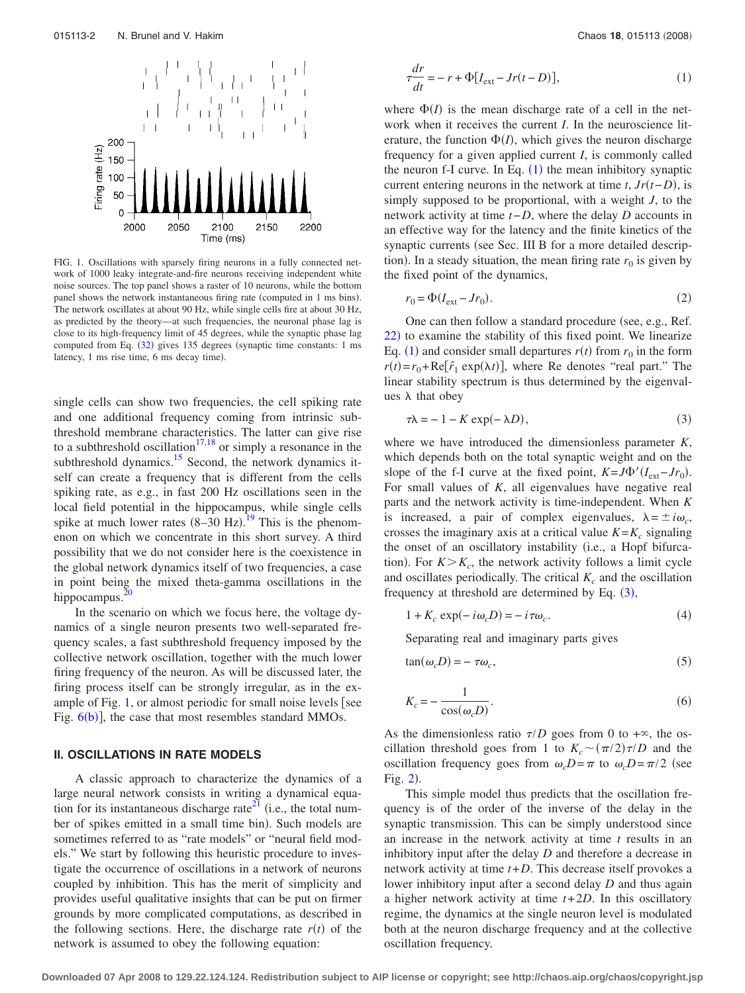<span id="page-1-0"></span>

FIG. 1. Oscillations with sparsely firing neurons in a fully connected network of 1000 leaky integrate-and-fire neurons receiving independent white noise sources. The top panel shows a raster of 10 neurons, while the bottom panel shows the network instantaneous firing rate (computed in 1 ms bins). The network oscillates at about 90 Hz, while single cells fire at about 30 Hz, as predicted by the theory—at such frequencies, the neuronal phase lag is close to its high-frequency limit of 45 degrees, while the synaptic phase lag computed from Eq. ([32](#page-5-0)) gives 135 degrees (synaptic time constants: 1 ms latency, 1 ms rise time, 6 ms decay time).

single cells can show two frequencies, the cell spiking rate and one additional frequency coming from intrinsic subthreshold membrane characteristics. The latter can give rise to a subthreshold oscillation<sup>17,[18](#page-10-15)</sup> or simply a resonance in the subthreshold dynamics.<sup>15</sup> Second, the network dynamics itself can create a frequency that is different from the cells spiking rate, as e.g., in fast 200 Hz oscillations seen in the local field potential in the hippocampus, while single cells spike at much lower rates  $(8-30 \text{ Hz})$ .<sup>[19](#page-10-16)</sup> This is the phenomenon on which we concentrate in this short survey. A third possibility that we do not consider here is the coexistence in the global network dynamics itself of two frequencies, a case in point being the mixed theta-gamma oscillations in the hippocampus. $\frac{2}{3}$ 

In the scenario on which we focus here, the voltage dynamics of a single neuron presents two well-separated frequency scales, a fast subthreshold frequency imposed by the collective network oscillation, together with the much lower firing frequency of the neuron. As will be discussed later, the firing process itself can be strongly irregular, as in the ex-ample of Fig. [1,](#page-1-0) or almost periodic for small noise levels [see Fig.  $6(b)$  $6(b)$ ], the case that most resembles standard MMOs.

### **II. OSCILLATIONS IN RATE MODELS**

A classic approach to characterize the dynamics of a large neural network consists in writing a dynamical equation for its instantaneous discharge rate<sup>21</sup> (i.e., the total number of spikes emitted in a small time bin). Such models are sometimes referred to as "rate models" or "neural field models." We start by following this heuristic procedure to investigate the occurrence of oscillations in a network of neurons coupled by inhibition. This has the merit of simplicity and provides useful qualitative insights that can be put on firmer grounds by more complicated computations, as described in the following sections. Here, the discharge rate  $r(t)$  of the network is assumed to obey the following equation:

<span id="page-1-1"></span>
$$
\frac{dr}{dt} = -r + \Phi[I_{\text{ext}} - Jr(t - D)],\tag{1}
$$

where  $\Phi(I)$  is the mean discharge rate of a cell in the network when it receives the current *I*. In the neuroscience literature, the function  $\Phi(I)$ , which gives the neuron discharge frequency for a given applied current *I*, is commonly called the neuron f-I curve. In Eq.  $(1)$  $(1)$  $(1)$  the mean inhibitory synaptic current entering neurons in the network at time  $t$ ,  $Jr(t-D)$ , is simply supposed to be proportional, with a weight *J*, to the network activity at time *t*−*D*, where the delay *D* accounts in an effective way for the latency and the finite kinetics of the synaptic currents (see Sec. III B for a more detailed description). In a steady situation, the mean firing rate  $r_0$  is given by the fixed point of the dynamics,

<span id="page-1-2"></span>
$$
r_0 = \Phi(I_{\text{ext}} - Jr_0). \tag{2}
$$

One can then follow a standard procedure (see, e.g., Ref. [22](#page-10-19)) to examine the stability of this fixed point. We linearize Eq. ([1](#page-1-1)) and consider small departures  $r(t)$  from  $r_0$  in the form  $r(t) = r_0 + \text{Re}[\hat{r}_1 \exp(\lambda t)]$ , where Re denotes "real part." The linear stability spectrum is thus determined by the eigenvalues  $\lambda$  that obey

$$
\tau \lambda = -1 - K \exp(-\lambda D),\tag{3}
$$

where we have introduced the dimensionless parameter *K*, which depends both on the total synaptic weight and on the slope of the f-I curve at the fixed point,  $K = J\Phi'(I_{ext}-Jr_0)$ . For small values of *K*, all eigenvalues have negative real parts and the network activity is time-independent. When *K* is increased, a pair of complex eigenvalues,  $\lambda = \pm i \omega_c$ , crosses the imaginary axis at a critical value  $K = K_c$  signaling the onset of an oscillatory instability (i.e., a Hopf bifurcation). For  $K > K_c$ , the network activity follows a limit cycle and oscillates periodically. The critical  $K_c$  and the oscillation frequency at threshold are determined by Eq.  $(3)$  $(3)$  $(3)$ ,

$$
1 + K_c \exp(-i\omega_c D) = -i\tau\omega_c.
$$
 (4)

Separating real and imaginary parts gives

$$
tan(\omega_c D) = -\tau \omega_c,\tag{5}
$$

$$
K_c = -\frac{1}{\cos(\omega_c D)}.\tag{6}
$$

As the dimensionless ratio  $\tau/D$  goes from 0 to + $\infty$ , the oscillation threshold goes from 1 to  $K_c \sim (\pi/2)\tau/D$  and the oscillation frequency goes from  $\omega_c D = \pi$  to  $\omega_c D = \pi/2$  (see Fig. [2](#page-2-0)).

This simple model thus predicts that the oscillation frequency is of the order of the inverse of the delay in the synaptic transmission. This can be simply understood since an increase in the network activity at time *t* results in an inhibitory input after the delay *D* and therefore a decrease in network activity at time *t*+*D*. This decrease itself provokes a lower inhibitory input after a second delay *D* and thus again a higher network activity at time *t*+ 2*D*. In this oscillatory regime, the dynamics at the single neuron level is modulated both at the neuron discharge frequency and at the collective oscillation frequency.

**Downloaded 07 Apr 2008 to 129.22.124.124. Redistribution subject to AIP license or copyright; see http://chaos.aip.org/chaos/copyright.jsp**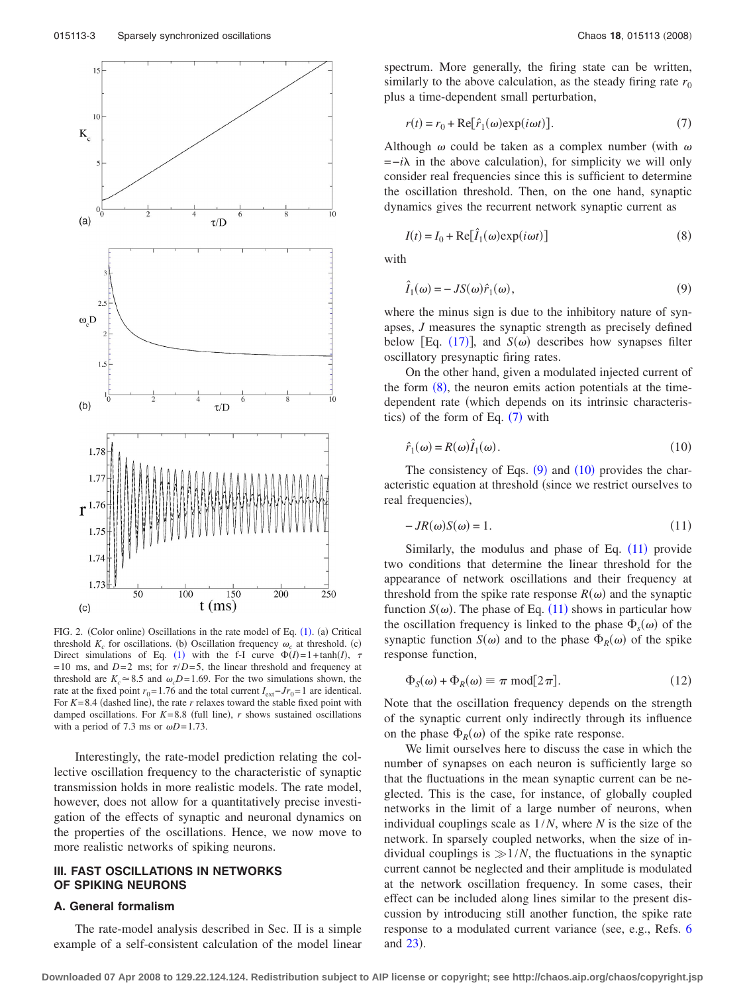<span id="page-2-0"></span>

FIG. 2. (Color online) Oscillations in the rate model of Eq. ([1](#page-1-1)). (a) Critical threshold  $K_c$  for oscillations. (b) Oscillation frequency  $\omega_c$  at threshold. (c) Direct simulations of Eq. ([1](#page-1-1)) with the f-I curve  $\Phi(I) = 1 + \tanh(I)$ ,  $\tau$ = 10 ms, and *D*=2 ms; for  $\tau/D = 5$ , the linear threshold and frequency at threshold are  $K_c \approx 8.5$  and  $\omega_c D = 1.69$ . For the two simulations shown, the rate at the fixed point  $r_0$ = 1.76 and the total current  $I_{ext}$ −*Jr*<sub>0</sub>=1 are identical. For  $K = 8.4$  (dashed line), the rate  $r$  relaxes toward the stable fixed point with damped oscillations. For  $K=8.8$  (full line),  $r$  shows sustained oscillations with a period of 7.3 ms or  $\omega D = 1.73$ .

Interestingly, the rate-model prediction relating the collective oscillation frequency to the characteristic of synaptic transmission holds in more realistic models. The rate model, however, does not allow for a quantitatively precise investigation of the effects of synaptic and neuronal dynamics on the properties of the oscillations. Hence, we now move to more realistic networks of spiking neurons.

# **III. FAST OSCILLATIONS IN NETWORKS OF SPIKING NEURONS**

#### **A. General formalism**

The rate-model analysis described in Sec. II is a simple example of a self-consistent calculation of the model linear spectrum. More generally, the firing state can be written, similarly to the above calculation, as the steady firing rate  $r_0$ plus a time-dependent small perturbation,

<span id="page-2-2"></span>
$$
r(t) = r_0 + \text{Re}[\hat{r}_1(\omega) \exp(i\omega t)].
$$
\n(7)

Although  $\omega$  could be taken as a complex number (with  $\omega$ )  $=-i\lambda$  in the above calculation), for simplicity we will only consider real frequencies since this is sufficient to determine the oscillation threshold. Then, on the one hand, synaptic dynamics gives the recurrent network synaptic current as

<span id="page-2-1"></span>
$$
I(t) = I_0 + \text{Re}[\hat{I}_1(\omega) \exp(i\omega t)] \tag{8}
$$

<span id="page-2-3"></span>with

$$
\hat{I}_1(\omega) = -JS(\omega)\hat{r}_1(\omega),\tag{9}
$$

where the minus sign is due to the inhibitory nature of synapses, *J* measures the synaptic strength as precisely defined below [Eq.  $(17)$  $(17)$  $(17)$ ], and *S*( $\omega$ ) describes how synapses filter oscillatory presynaptic firing rates.

On the other hand, given a modulated injected current of the form  $(8)$  $(8)$  $(8)$ , the neuron emits action potentials at the timedependent rate (which depends on its intrinsic characteristics) of the form of Eq.  $(7)$  $(7)$  $(7)$  with

<span id="page-2-4"></span>
$$
\hat{r}_1(\omega) = R(\omega)\hat{I}_1(\omega). \tag{10}
$$

The consistency of Eqs.  $(9)$  $(9)$  $(9)$  and  $(10)$  $(10)$  $(10)$  provides the characteristic equation at threshold (since we restrict ourselves to real frequencies),

<span id="page-2-5"></span>
$$
-JR(\omega)S(\omega) = 1.
$$
\n(11)

Similarly, the modulus and phase of Eq.  $(11)$  $(11)$  $(11)$  provide two conditions that determine the linear threshold for the appearance of network oscillations and their frequency at threshold from the spike rate response  $R(\omega)$  and the synaptic function  $S(\omega)$ . The phase of Eq. ([11](#page-2-5)) shows in particular how the oscillation frequency is linked to the phase  $\Phi_s(\omega)$  of the synaptic function  $S(\omega)$  and to the phase  $\Phi_R(\omega)$  of the spike response function,

<span id="page-2-6"></span>
$$
\Phi_S(\omega) + \Phi_R(\omega) \equiv \pi \text{ mod}[2\pi]. \tag{12}
$$

Note that the oscillation frequency depends on the strength of the synaptic current only indirectly through its influence on the phase  $\Phi_R(\omega)$  of the spike rate response.

We limit ourselves here to discuss the case in which the number of synapses on each neuron is sufficiently large so that the fluctuations in the mean synaptic current can be neglected. This is the case, for instance, of globally coupled networks in the limit of a large number of neurons, when individual couplings scale as 1/*N*, where *N* is the size of the network. In sparsely coupled networks, when the size of individual couplings is  $\gg 1/N$ , the fluctuations in the synaptic current cannot be neglected and their amplitude is modulated at the network oscillation frequency. In some cases, their effect can be included along lines similar to the present discussion by introducing still another function, the spike rate response to a modulated current variance (see, e.g., Refs. [6](#page-10-5) and  $23$ ).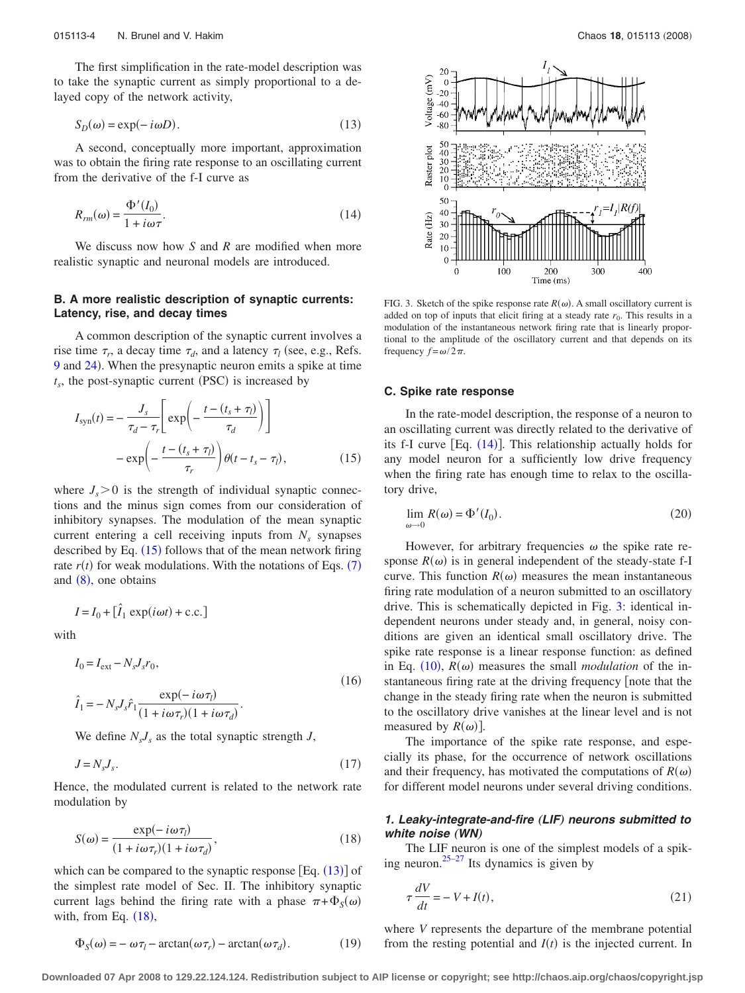The first simplification in the rate-model description was to take the synaptic current as simply proportional to a delayed copy of the network activity,

<span id="page-3-2"></span>
$$
S_D(\omega) = \exp(-i\omega D). \tag{13}
$$

A second, conceptually more important, approximation was to obtain the firing rate response to an oscillating current from the derivative of the f-I curve as

<span id="page-3-4"></span>
$$
R_{rm}(\omega) = \frac{\Phi'(I_0)}{1 + i\omega\tau}.
$$
\n(14)

We discuss now how *S* and *R* are modified when more realistic synaptic and neuronal models are introduced.

# **B. A more realistic description of synaptic currents: Latency, rise, and decay times**

A common description of the synaptic current involves a rise time  $\tau_r$ , a decay time  $\tau_d$ , and a latency  $\tau_l$  (see, e.g., Refs. [9](#page-10-8) and [24](#page-10-21)). When the presynaptic neuron emits a spike at time  $t_s$ , the post-synaptic current (PSC) is increased by

<span id="page-3-1"></span>
$$
I_{\text{syn}}(t) = -\frac{J_s}{\tau_d - \tau_r} \left[ \exp\left(-\frac{t - (t_s + \tau_l)}{\tau_d}\right) \right]
$$

$$
- \exp\left(-\frac{t - (t_s + \tau_l)}{\tau_r}\right) \theta(t - t_s - \tau_l), \tag{15}
$$

where  $J_s$  > 0 is the strength of individual synaptic connections and the minus sign comes from our consideration of inhibitory synapses. The modulation of the mean synaptic current entering a cell receiving inputs from  $N_s$  synapses described by Eq.  $(15)$  $(15)$  $(15)$  follows that of the mean network firing rate  $r(t)$  for weak modulations. With the notations of Eqs.  $(7)$  $(7)$  $(7)$ and  $(8)$  $(8)$  $(8)$ , one obtains

$$
I = I_0 + [\hat{I}_1 \exp(i\omega t) + \text{c.c.}]
$$

with

<span id="page-3-7"></span>
$$
I_0 = I_{\text{ext}} - N_s J_s r_0,
$$
  
\n
$$
\hat{I}_1 = -N_s J_s \hat{r}_1 \frac{\exp(-i\omega \tau_l)}{(1 + i\omega \tau_r)(1 + i\omega \tau_d)}.
$$
\n(16)

We define  $N_s J_s$  as the total synaptic strength *J*,

<span id="page-3-0"></span>
$$
J = N_s J_s. \tag{17}
$$

Hence, the modulated current is related to the network rate modulation by

<span id="page-3-3"></span>
$$
S(\omega) = \frac{\exp(-i\omega\tau_l)}{(1 + i\omega\tau_r)(1 + i\omega\tau_d)},
$$
\n(18)

which can be compared to the synaptic response  $\left[Eq. (13)\right]$  $\left[Eq. (13)\right]$  $\left[Eq. (13)\right]$  of the simplest rate model of Sec. II. The inhibitory synaptic current lags behind the firing rate with a phase  $\pi + \Phi_S(\omega)$ with, from Eq.  $(18)$  $(18)$  $(18)$ ,

$$
\Phi_S(\omega) = -\omega \tau_l - \arctan(\omega \tau_r) - \arctan(\omega \tau_d). \tag{19}
$$

<span id="page-3-5"></span>

FIG. 3. Sketch of the spike response rate  $R(\omega)$ . A small oscillatory current is added on top of inputs that elicit firing at a steady rate  $r_0$ . This results in a modulation of the instantaneous network firing rate that is linearly proportional to the amplitude of the oscillatory current and that depends on its frequency  $f = \omega/2\pi$ .

#### **C. Spike rate response**

In the rate-model description, the response of a neuron to an oscillating current was directly related to the derivative of its f-I curve  $[Eq. (14)]$  $[Eq. (14)]$  $[Eq. (14)]$ . This relationship actually holds for any model neuron for a sufficiently low drive frequency when the firing rate has enough time to relax to the oscillatory drive,

<span id="page-3-8"></span>
$$
\lim_{\omega \to 0} R(\omega) = \Phi'(I_0). \tag{20}
$$

However, for arbitrary frequencies  $\omega$  the spike rate response  $R(\omega)$  is in general independent of the steady-state f-I curve. This function  $R(\omega)$  measures the mean instantaneous firing rate modulation of a neuron submitted to an oscillatory drive. This is schematically depicted in Fig. [3:](#page-3-5) identical independent neurons under steady and, in general, noisy conditions are given an identical small oscillatory drive. The spike rate response is a linear response function: as defined in Eq.  $(10)$  $(10)$  $(10)$ ,  $R(\omega)$  measures the small *modulation* of the instantaneous firing rate at the driving frequency [note that the change in the steady firing rate when the neuron is submitted to the oscillatory drive vanishes at the linear level and is not measured by  $R(\omega)$ ].

The importance of the spike rate response, and especially its phase, for the occurrence of network oscillations and their frequency, has motivated the computations of  $R(\omega)$ for different model neurons under several driving conditions.

## *1. Leaky-integrate-and-fire* "*LIF*… *neurons submitted to white noise* (WN)

The LIF neuron is one of the simplest models of a spik-ing neuron.<sup>25–[27](#page-10-23)</sup> Its dynamics is given by

<span id="page-3-6"></span>
$$
\tau \frac{dV}{dt} = -V + I(t),\tag{21}
$$

where *V* represents the departure of the membrane potential from the resting potential and  $I(t)$  is the injected current. In

**Downloaded 07 Apr 2008 to 129.22.124.124. Redistribution subject to AIP license or copyright; see http://chaos.aip.org/chaos/copyright.jsp**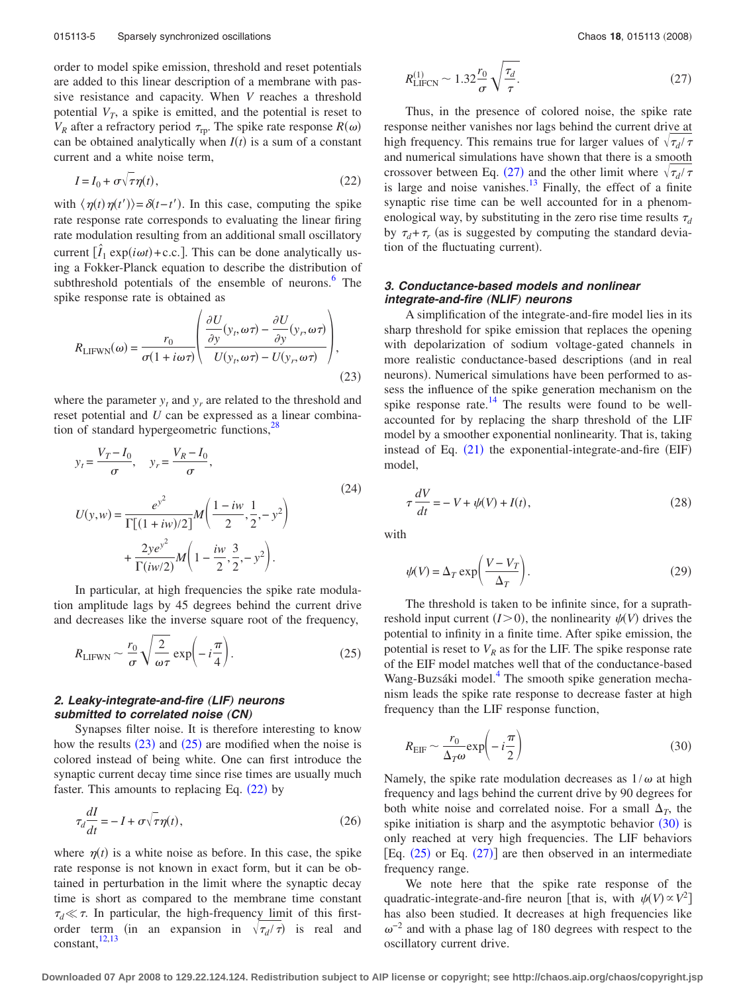order to model spike emission, threshold and reset potentials are added to this linear description of a membrane with passive resistance and capacity. When *V* reaches a threshold potential  $V_T$ , a spike is emitted, and the potential is reset to  $V_R$  after a refractory period  $\tau_{\text{rp}}$ . The spike rate response  $R(\omega)$ can be obtained analytically when  $I(t)$  is a sum of a constant current and a white noise term,

<span id="page-4-2"></span>
$$
I = I_0 + \sigma \sqrt{\tau} \eta(t),\tag{22}
$$

with  $\langle \eta(t) \eta(t') \rangle = \delta(t-t')$ . In this case, computing the spike rate response rate corresponds to evaluating the linear firing rate modulation resulting from an additional small oscillatory current  $[\hat{I}_1 \exp(i\omega t) + c.c.]$ . This can be done analytically using a Fokker-Planck equation to describe the distribution of subthreshold potentials of the ensemble of neurons.<sup>6</sup> The spike response rate is obtained as

<span id="page-4-0"></span>
$$
R_{\text{LIFWN}}(\omega) = \frac{r_0}{\sigma (1 + i\omega \tau)} \left( \frac{\frac{\partial U}{\partial y}(y_r, \omega \tau) - \frac{\partial U}{\partial y}(y_r, \omega \tau)}{U(y_r, \omega \tau) - U(y_r, \omega \tau)} \right),\tag{23}
$$

where the parameter  $y_t$  and  $y_r$  are related to the threshold and reset potential and *U* can be expressed as a linear combination of standard hypergeometric functions,<sup>28</sup>

$$
y_{t} = \frac{V_{T} - I_{0}}{\sigma}, \quad y_{r} = \frac{V_{R} - I_{0}}{\sigma},
$$
  
\n
$$
U(y, w) = \frac{e^{y^{2}}}{\Gamma[(1 + iw)/2]} M\left(\frac{1 - iw}{2}, \frac{1}{2}, -y^{2}\right)
$$
  
\n
$$
+ \frac{2ye^{y^{2}}}{\Gamma(iw/2)} M\left(1 - \frac{iw}{2}, \frac{3}{2}, -y^{2}\right).
$$
\n(24)

In particular, at high frequencies the spike rate modulation amplitude lags by 45 degrees behind the current drive and decreases like the inverse square root of the frequency,

<span id="page-4-1"></span>
$$
R_{\text{LIFWN}} \sim \frac{r_0}{\sigma} \sqrt{\frac{2}{\omega \tau}} \exp\left(-i\frac{\pi}{4}\right). \tag{25}
$$

# *2. Leaky-integrate-and-fire* "*LIF*… *neurons* submitted to correlated noise (CN)

Synapses filter noise. It is therefore interesting to know how the results  $(23)$  $(23)$  $(23)$  and  $(25)$  $(25)$  $(25)$  are modified when the noise is colored instead of being white. One can first introduce the synaptic current decay time since rise times are usually much faster. This amounts to replacing Eq.  $(22)$  $(22)$  $(22)$  by

$$
\tau_d \frac{dI}{dt} = -I + \sigma \sqrt{\tau} \eta(t),\tag{26}
$$

where  $\eta(t)$  is a white noise as before. In this case, the spike rate response is not known in exact form, but it can be obtained in perturbation in the limit where the synaptic decay time is short as compared to the membrane time constant  $\tau_d \ll \tau$ . In particular, the high-frequency limit of this firstorder term (in an expansion in  $\sqrt{\tau_d/\tau}$ ) is real and constant,  $\frac{12,13}{2}$  $\frac{12,13}{2}$  $\frac{12,13}{2}$ 

<span id="page-4-3"></span>
$$
R_{\text{LIFCN}}^{(1)} \sim 1.32 \frac{r_0}{\sigma} \sqrt{\frac{\tau_d}{\tau}}.\tag{27}
$$

Thus, in the presence of colored noise, the spike rate response neither vanishes nor lags behind the current drive at high frequency. This remains true for larger values of  $\sqrt{\tau_d}/\tau$ and numerical simulations have shown that there is a smooth crossover between Eq. ([27](#page-4-3)) and the other limit where  $\sqrt{\tau_d/\tau}$ is large and noise vanishes. $13$  Finally, the effect of a finite synaptic rise time can be well accounted for in a phenomenological way, by substituting in the zero rise time results  $\tau_d$ by  $\tau_d + \tau_r$  (as is suggested by computing the standard deviation of the fluctuating current).

# *3. Conductance-based models and nonlinear integrate-and-fire* (*NLIF*) *neurons*

A simplification of the integrate-and-fire model lies in its sharp threshold for spike emission that replaces the opening with depolarization of sodium voltage-gated channels in more realistic conductance-based descriptions (and in real neurons). Numerical simulations have been performed to assess the influence of the spike generation mechanism on the spike response rate. $^{14}$  The results were found to be wellaccounted for by replacing the sharp threshold of the LIF model by a smoother exponential nonlinearity. That is, taking instead of Eq.  $(21)$  $(21)$  $(21)$  the exponential-integrate-and-fire  $(EIF)$ model,

$$
\tau \frac{dV}{dt} = -V + \psi(V) + I(t),\tag{28}
$$

with

$$
\psi(V) = \Delta_T \exp\left(\frac{V - V_T}{\Delta_T}\right). \tag{29}
$$

The threshold is taken to be infinite since, for a suprathreshold input current  $(I>0)$ , the nonlinearity  $\psi(V)$  drives the potential to infinity in a finite time. After spike emission, the potential is reset to  $V_R$  as for the LIF. The spike response rate of the EIF model matches well that of the conductance-based Wang-Buzsáki model.<sup>4</sup> The smooth spike generation mechanism leads the spike rate response to decrease faster at high frequency than the LIF response function,

<span id="page-4-4"></span>
$$
R_{\rm EIF} \sim \frac{r_0}{\Delta_T \omega} \exp\left(-i\frac{\pi}{2}\right) \tag{30}
$$

Namely, the spike rate modulation decreases as  $1/\omega$  at high frequency and lags behind the current drive by 90 degrees for both white noise and correlated noise. For a small  $\Delta_T$ , the spike initiation is sharp and the asymptotic behavior  $(30)$  $(30)$  $(30)$  is only reached at very high frequencies. The LIF behaviors [Eq.  $(25)$  $(25)$  $(25)$  or Eq.  $(27)$  $(27)$  $(27)$ ] are then observed in an intermediate frequency range.

We note here that the spike rate response of the quadratic-integrate-and-fire neuron [that is, with  $\psi(V) \propto V^2$ ] has also been studied. It decreases at high frequencies like  $\omega^{-2}$  and with a phase lag of 180 degrees with respect to the oscillatory current drive.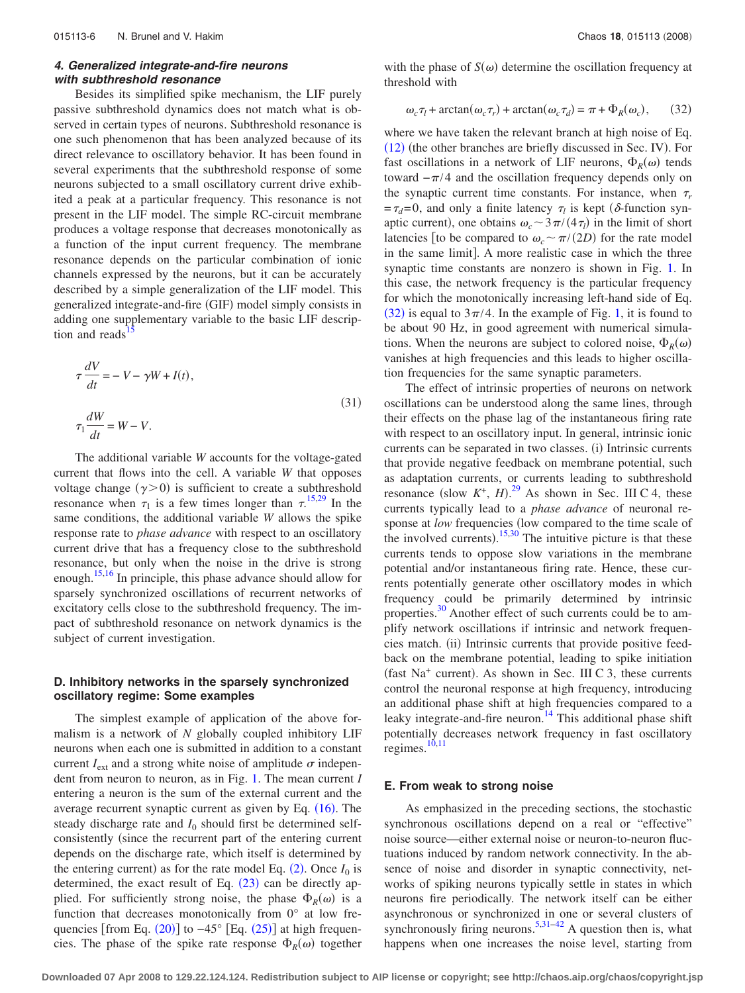# *4. Generalized integrate-and-fire neurons with subthreshold resonance*

Besides its simplified spike mechanism, the LIF purely passive subthreshold dynamics does not match what is observed in certain types of neurons. Subthreshold resonance is one such phenomenon that has been analyzed because of its direct relevance to oscillatory behavior. It has been found in several experiments that the subthreshold response of some neurons subjected to a small oscillatory current drive exhibited a peak at a particular frequency. This resonance is not present in the LIF model. The simple RC-circuit membrane produces a voltage response that decreases monotonically as a function of the input current frequency. The membrane resonance depends on the particular combination of ionic channels expressed by the neurons, but it can be accurately described by a simple generalization of the LIF model. This generalized integrate-and-fire (GIF) model simply consists in adding one supplementary variable to the basic LIF description and reads

$$
\tau \frac{dV}{dt} = -V - \gamma W + I(t),
$$
  

$$
\tau_1 \frac{dW}{dt} = W - V.
$$
 (31)

The additional variable *W* accounts for the voltage-gated current that flows into the cell. A variable *W* that opposes voltage change  $(\gamma > 0)$  is sufficient to create a subthreshold resonance when  $\tau_1$  is a few times longer than  $\tau^{15,29}$  $\tau^{15,29}$  $\tau^{15,29}$  $\tau^{15,29}$  In the same conditions, the additional variable *W* allows the spike response rate to *phase advance* with respect to an oscillatory current drive that has a frequency close to the subthreshold resonance, but only when the noise in the drive is strong enough.<sup>15,[16](#page-10-13)</sup> In principle, this phase advance should allow for sparsely synchronized oscillations of recurrent networks of excitatory cells close to the subthreshold frequency. The impact of subthreshold resonance on network dynamics is the subject of current investigation.

## **D. Inhibitory networks in the sparsely synchronized oscillatory regime: Some examples**

The simplest example of application of the above formalism is a network of *N* globally coupled inhibitory LIF neurons when each one is submitted in addition to a constant current  $I_{ext}$  and a strong white noise of amplitude  $\sigma$  independent from neuron to neuron, as in Fig. [1.](#page-1-0) The mean current *I* entering a neuron is the sum of the external current and the average recurrent synaptic current as given by Eq.  $(16)$  $(16)$  $(16)$ . The steady discharge rate and  $I_0$  should first be determined selfconsistently (since the recurrent part of the entering current depends on the discharge rate, which itself is determined by the entering current) as for the rate model Eq.  $(2)$  $(2)$  $(2)$ . Once  $I_0$  is determined, the exact result of Eq.  $(23)$  $(23)$  $(23)$  can be directly applied. For sufficiently strong noise, the phase  $\Phi_R(\omega)$  is a function that decreases monotonically from 0° at low frequencies [from Eq.  $(20)$  $(20)$  $(20)$ ] to  $-45^{\circ}$  [Eq.  $(25)$  $(25)$  $(25)$ ] at high frequencies. The phase of the spike rate response  $\Phi_R(\omega)$  together

with the phase of  $S(\omega)$  determine the oscillation frequency at threshold with

<span id="page-5-0"></span>
$$
\omega_c \tau_l + \arctan(\omega_c \tau_r) + \arctan(\omega_c \tau_d) = \pi + \Phi_R(\omega_c), \qquad (32)
$$

where we have taken the relevant branch at high noise of Eq.  $(12)$  $(12)$  $(12)$  (the other branches are briefly discussed in Sec. IV). For fast oscillations in a network of LIF neurons,  $\Phi_R(\omega)$  tends toward  $-\pi/4$  and the oscillation frequency depends only on the synaptic current time constants. For instance, when  $\tau_r$  $=\tau_d=0$ , and only a finite latency  $\tau_l$  is kept ( $\delta$ -function synaptic current), one obtains  $\omega_c \sim 3\pi/(4\tau_l)$  in the limit of short latencies [to be compared to  $\omega_c \sim \pi/(2D)$  for the rate model in the same limit]. A more realistic case in which the three synaptic time constants are nonzero is shown in Fig. [1.](#page-1-0) In this case, the network frequency is the particular frequency for which the monotonically increasing left-hand side of Eq. ([32](#page-5-0)) is equal to  $3\pi/4$ . In the example of Fig. [1,](#page-1-0) it is found to be about 90 Hz, in good agreement with numerical simulations. When the neurons are subject to colored noise,  $\Phi_R(\omega)$ vanishes at high frequencies and this leads to higher oscillation frequencies for the same synaptic parameters.

The effect of intrinsic properties of neurons on network oscillations can be understood along the same lines, through their effects on the phase lag of the instantaneous firing rate with respect to an oscillatory input. In general, intrinsic ionic currents can be separated in two classes. (i) Intrinsic currents that provide negative feedback on membrane potential, such as adaptation currents, or currents leading to subthreshold resonance (slow  $K^+$ , *H*).<sup>[29](#page-10-25)</sup> As shown in Sec. III C 4, these currents typically lead to a *phase advance* of neuronal response at *low* frequencies (low compared to the time scale of the involved currents).  $15,30$  $15,30$  The intuitive picture is that these currents tends to oppose slow variations in the membrane potential and/or instantaneous firing rate. Hence, these currents potentially generate other oscillatory modes in which frequency could be primarily determined by intrinsic properties. $30$  Another effect of such currents could be to amplify network oscillations if intrinsic and network frequencies match. (ii) Intrinsic currents that provide positive feedback on the membrane potential, leading to spike initiation (fast Na<sup>+</sup> current). As shown in Sec. III C 3, these currents control the neuronal response at high frequency, introducing an additional phase shift at high frequencies compared to a leaky integrate-and-fire neuron.<sup>14</sup> This additional phase shift potentially decreases network frequency in fast oscillatory regimes.<sup>10[,11](#page-10-7)</sup>

#### **E. From weak to strong noise**

As emphasized in the preceding sections, the stochastic synchronous oscillations depend on a real or "effective" noise source—either external noise or neuron-to-neuron fluctuations induced by random network connectivity. In the absence of noise and disorder in synaptic connectivity, networks of spiking neurons typically settle in states in which neurons fire periodically. The network itself can be either asynchronous or synchronized in one or several clusters of synchronously firing neurons.<sup>5[,31–](#page-10-28)[42](#page-10-29)</sup> A question then is, what happens when one increases the noise level, starting from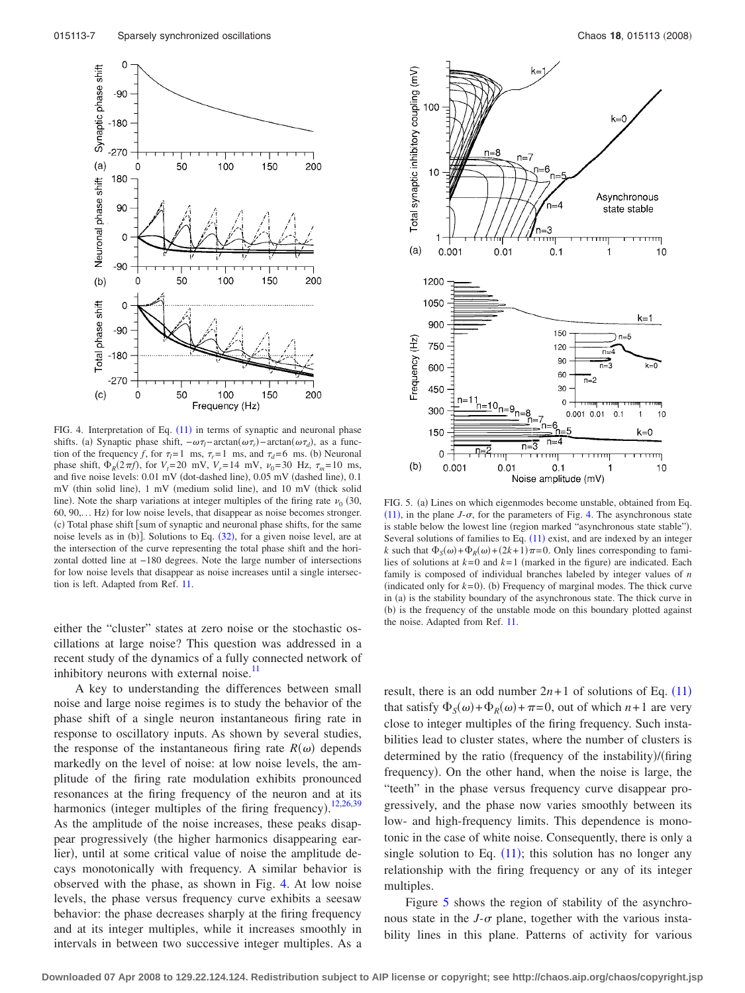$\circ$ 

 $-90$ 

 $-180$ 



<span id="page-6-0"></span>

FIG. 4. Interpretation of Eq. ([11](#page-2-5)) in terms of synaptic and neuronal phase shifts. (a) Synaptic phase shift,  $-\omega \tau_l$ -arctan $(\omega \tau_r)$ -arctan $(\omega \tau_d)$ , as a function of the frequency *f*, for  $\tau_l = 1$  ms,  $\tau_r = 1$  ms, and  $\tau_d = 6$  ms. (b) Neuronal phase shift,  $\Phi_R(2\pi f)$ , for  $V_t = 20$  mV,  $V_r = 14$  mV,  $v_0 = 30$  Hz,  $\tau_m = 10$  ms, and five noise levels: 0.01 mV (dot-dashed line), 0.05 mV (dashed line), 0.1 mV (thin solid line), 1 mV (medium solid line), and 10 mV (thick solid line). Note the sharp variations at integer multiples of the firing rate  $\nu_0$  (30, 60, 90,... Hz) for low noise levels, that disappear as noise becomes stronger. (c) Total phase shift [sum of synaptic and neuronal phase shifts, for the same noise levels as in (b)]. Solutions to Eq. ([32](#page-5-0)), for a given noise level, are at the intersection of the curve representing the total phase shift and the horizontal dotted line at −180 degrees. Note the large number of intersections for low noise levels that disappear as noise increases until a single intersection is left. Adapted from Ref. [11.](#page-10-7)

either the "cluster" states at zero noise or the stochastic oscillations at large noise? This question was addressed in a recent study of the dynamics of a fully connected network of inhibitory neurons with external noise.<sup>11</sup>

A key to understanding the differences between small noise and large noise regimes is to study the behavior of the phase shift of a single neuron instantaneous firing rate in response to oscillatory inputs. As shown by several studies, the response of the instantaneous firing rate  $R(\omega)$  depends markedly on the level of noise: at low noise levels, the amplitude of the firing rate modulation exhibits pronounced resonances at the firing frequency of the neuron and at its harmonics (integer multiples of the firing frequency).<sup>[12,](#page-10-9)[26](#page-10-30)[,39](#page-10-31)</sup> As the amplitude of the noise increases, these peaks disappear progressively (the higher harmonics disappearing earlier), until at some critical value of noise the amplitude decays monotonically with frequency. A similar behavior is observed with the phase, as shown in Fig. [4.](#page-6-0) At low noise levels, the phase versus frequency curve exhibits a seesaw behavior: the phase decreases sharply at the firing frequency and at its integer multiples, while it increases smoothly in intervals in between two successive integer multiples. As a



<span id="page-6-1"></span>

FIG. 5. (a) Lines on which eigenmodes become unstable, obtained from Eq.  $(11)$  $(11)$  $(11)$ , in the plane *J*- $\sigma$ , for the parameters of Fig. [4.](#page-6-0) The asynchronous state is stable below the lowest line (region marked "asynchronous state stable"). Several solutions of families to Eq.  $(11)$  $(11)$  $(11)$  exist, and are indexed by an integer *k* such that  $\Phi_S(\omega) + \Phi_R(\omega) + (2k+1)\pi = 0$ . Only lines corresponding to families of solutions at  $k=0$  and  $k=1$  (marked in the figure) are indicated. Each family is composed of individual branches labeled by integer values of *n* (indicated only for  $k=0$ ). (b) Frequency of marginal modes. The thick curve in (a) is the stability boundary of the asynchronous state. The thick curve in (b) is the frequency of the unstable mode on this boundary plotted against the noise. Adapted from Ref. [11.](#page-10-7)

result, there is an odd number  $2n+1$  of solutions of Eq.  $(11)$  $(11)$  $(11)$ that satisfy  $\Phi_S(\omega) + \Phi_R(\omega) + \pi = 0$ , out of which  $n+1$  are very close to integer multiples of the firing frequency. Such instabilities lead to cluster states, where the number of clusters is determined by the ratio (frequency of the instability)/(firing frequency). On the other hand, when the noise is large, the "teeth" in the phase versus frequency curve disappear progressively, and the phase now varies smoothly between its low- and high-frequency limits. This dependence is monotonic in the case of white noise. Consequently, there is only a single solution to Eq.  $(11)$  $(11)$  $(11)$ ; this solution has no longer any relationship with the firing frequency or any of its integer multiples.

Figure [5](#page-6-1) shows the region of stability of the asynchronous state in the  $J$ - $\sigma$  plane, together with the various instability lines in this plane. Patterns of activity for various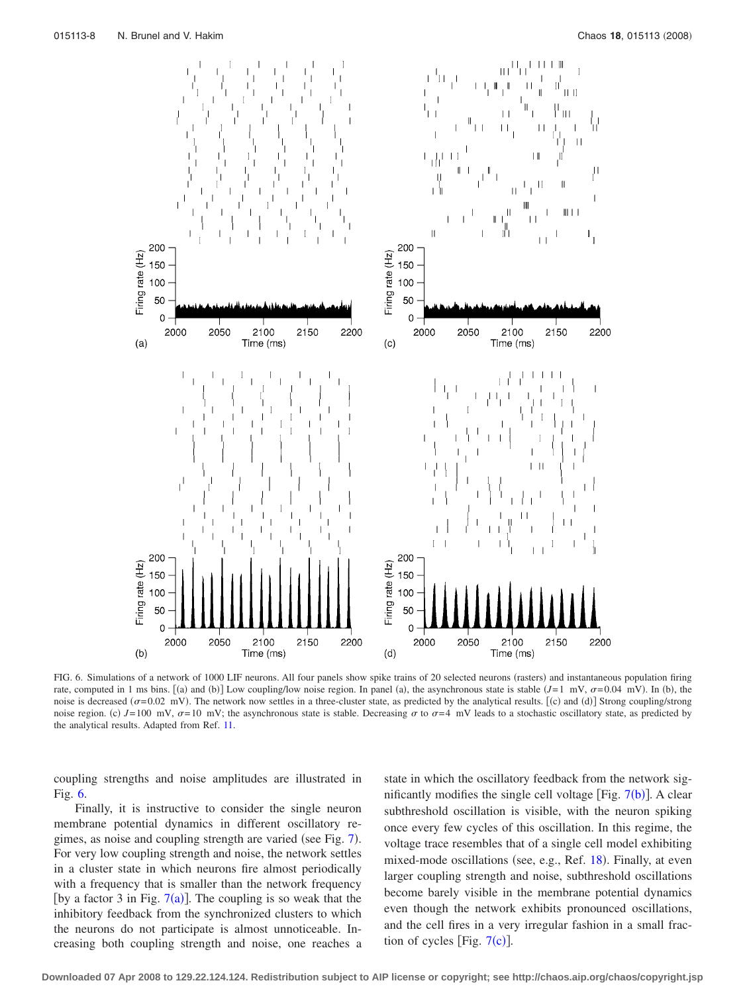<span id="page-7-0"></span>

FIG. 6. Simulations of a network of 1000 LIF neurons. All four panels show spike trains of 20 selected neurons (rasters) and instantaneous population firing rate, computed in 1 ms bins. [(a) and (b)] Low coupling/low noise region. In panel (a), the asynchronous state is stable  $(J=1 \text{ mV}, \sigma=0.04 \text{ mV})$ . In (b), the noise is decreased  $(\sigma = 0.02 \text{ mV})$ . The network now settles in a three-cluster state, as predicted by the analytical results. [(c) and (d)] Strong coupling/strong noise region. (c)  $J=100 \text{ mV}$ ,  $\sigma=10 \text{ mV}$ ; the asynchronous state is stable. Decreasing  $\sigma$  to  $\sigma=4 \text{ mV}$  leads to a stochastic oscillatory state, as predicted by the analytical results. Adapted from Ref. [11.](#page-10-7)

coupling strengths and noise amplitudes are illustrated in Fig. [6.](#page-7-0)

Finally, it is instructive to consider the single neuron membrane potential dynamics in different oscillatory re-gimes, as noise and coupling strength are varied (see Fig. [7](#page-8-0)). For very low coupling strength and noise, the network settles in a cluster state in which neurons fire almost periodically with a frequency that is smaller than the network frequency [by a factor 3 in Fig.  $7(a)$  $7(a)$ ]. The coupling is so weak that the inhibitory feedback from the synchronized clusters to which the neurons do not participate is almost unnoticeable. Increasing both coupling strength and noise, one reaches a

state in which the oscillatory feedback from the network significantly modifies the single cell voltage [Fig.  $7(b)$  $7(b)$ ]. A clear subthreshold oscillation is visible, with the neuron spiking once every few cycles of this oscillation. In this regime, the voltage trace resembles that of a single cell model exhibiting mixed-mode oscillations (see, e.g., Ref. [18](#page-10-15)). Finally, at even larger coupling strength and noise, subthreshold oscillations become barely visible in the membrane potential dynamics even though the network exhibits pronounced oscillations, and the cell fires in a very irregular fashion in a small fraction of cycles [Fig.  $7(c)$  $7(c)$ ].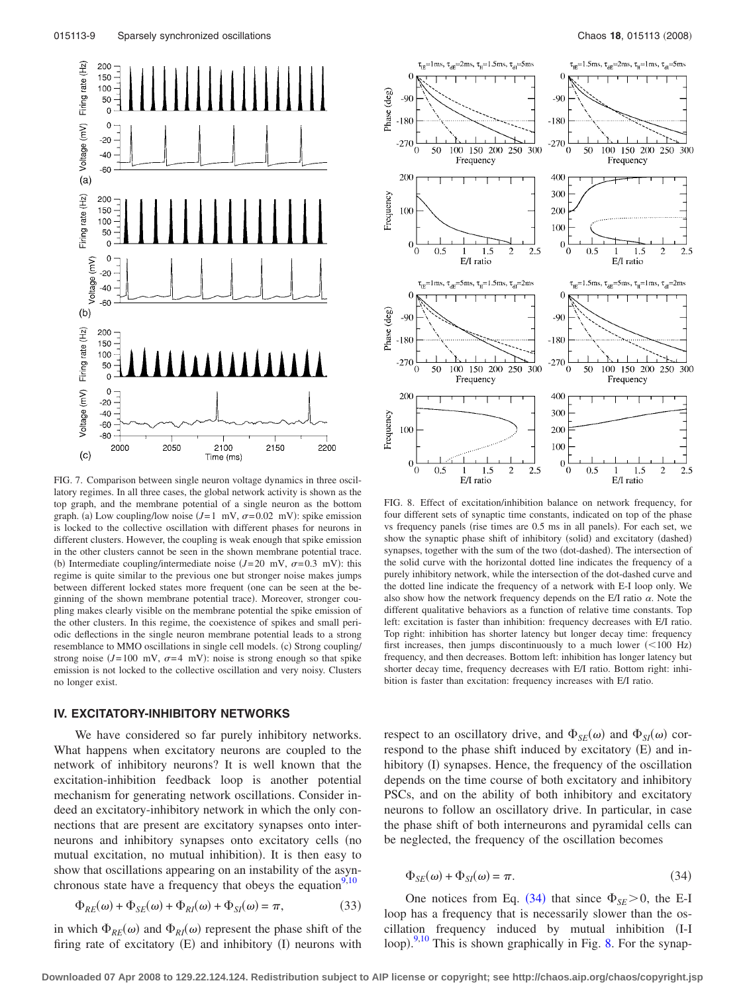<span id="page-8-0"></span>

FIG. 7. Comparison between single neuron voltage dynamics in three oscillatory regimes. In all three cases, the global network activity is shown as the top graph, and the membrane potential of a single neuron as the bottom graph. (a) Low coupling/low noise  $(J=1 \text{ mV}, \sigma=0.02 \text{ mV})$ : spike emission is locked to the collective oscillation with different phases for neurons in different clusters. However, the coupling is weak enough that spike emission in the other clusters cannot be seen in the shown membrane potential trace. (b) Intermediate coupling/intermediate noise  $(J=20 \text{ mV}, \sigma=0.3 \text{ mV})$ : this regime is quite similar to the previous one but stronger noise makes jumps between different locked states more frequent (one can be seen at the beginning of the shown membrane potential trace). Moreover, stronger coupling makes clearly visible on the membrane potential the spike emission of the other clusters. In this regime, the coexistence of spikes and small periodic deflections in the single neuron membrane potential leads to a strong resemblance to MMO oscillations in single cell models. (c) Strong coupling/ strong noise  $(J=100 \text{ mV}, \sigma=4 \text{ mV})$ : noise is strong enough so that spike emission is not locked to the collective oscillation and very noisy. Clusters no longer exist.

## **IV. EXCITATORY-INHIBITORY NETWORKS**

We have considered so far purely inhibitory networks. What happens when excitatory neurons are coupled to the network of inhibitory neurons? It is well known that the excitation-inhibition feedback loop is another potential mechanism for generating network oscillations. Consider indeed an excitatory-inhibitory network in which the only connections that are present are excitatory synapses onto interneurons and inhibitory synapses onto excitatory cells (no mutual excitation, no mutual inhibition). It is then easy to show that oscillations appearing on an instability of the asynchronous state have a frequency that obeys the equation $9,10$  $9,10$ 

$$
\Phi_{RE}(\omega) + \Phi_{SE}(\omega) + \Phi_{RI}(\omega) + \Phi_{SI}(\omega) = \pi,\tag{33}
$$

in which  $\Phi_{RE}(\omega)$  and  $\Phi_{RI}(\omega)$  represent the phase shift of the firing rate of excitatory  $(E)$  and inhibitory  $(I)$  neurons with

<span id="page-8-2"></span>

FIG. 8. Effect of excitation/inhibition balance on network frequency, for four different sets of synaptic time constants, indicated on top of the phase vs frequency panels (rise times are 0.5 ms in all panels). For each set, we show the synaptic phase shift of inhibitory (solid) and excitatory (dashed) synapses, together with the sum of the two (dot-dashed). The intersection of the solid curve with the horizontal dotted line indicates the frequency of a purely inhibitory network, while the intersection of the dot-dashed curve and the dotted line indicate the frequency of a network with E-I loop only. We also show how the network frequency depends on the E/I ratio  $\alpha$ . Note the different qualitative behaviors as a function of relative time constants. Top left: excitation is faster than inhibition: frequency decreases with E/I ratio. Top right: inhibition has shorter latency but longer decay time: frequency first increases, then jumps discontinuously to a much lower  $(<100$  Hz) frequency, and then decreases. Bottom left: inhibition has longer latency but shorter decay time, frequency decreases with E/I ratio. Bottom right: inhibition is faster than excitation: frequency increases with E/I ratio.

respect to an oscillatory drive, and  $\Phi_{SE}(\omega)$  and  $\Phi_{SI}(\omega)$  correspond to the phase shift induced by excitatory (E) and inhibitory (I) synapses. Hence, the frequency of the oscillation depends on the time course of both excitatory and inhibitory PSCs, and on the ability of both inhibitory and excitatory neurons to follow an oscillatory drive. In particular, in case the phase shift of both interneurons and pyramidal cells can be neglected, the frequency of the oscillation becomes

<span id="page-8-1"></span>
$$
\Phi_{SE}(\omega) + \Phi_{SI}(\omega) = \pi.
$$
\n(34)

One notices from Eq. ([34](#page-8-1)) that since  $\Phi_{SE} > 0$ , the E-I loop has a frequency that is necessarily slower than the oscillation frequency induced by mutual inhibition (I-I loop).<sup>[9](#page-10-8)[,10](#page-10-27)</sup> This is shown graphically in Fig. [8.](#page-8-2) For the synap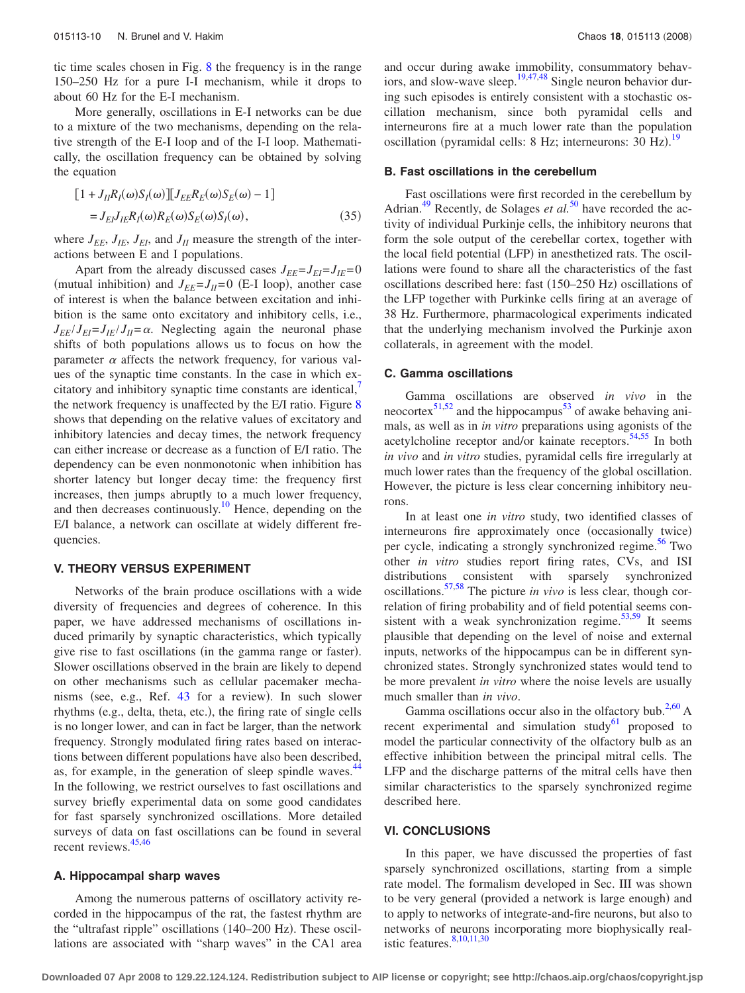tic time scales chosen in Fig. [8](#page-8-2) the frequency is in the range 150–250 Hz for a pure I-I mechanism, while it drops to about 60 Hz for the E-I mechanism.

More generally, oscillations in E-I networks can be due to a mixture of the two mechanisms, depending on the relative strength of the E-I loop and of the I-I loop. Mathematically, the oscillation frequency can be obtained by solving the equation

$$
[1 + J_{II}R_I(\omega)S_I(\omega)][J_{EE}R_E(\omega)S_E(\omega) - 1]
$$
  
=  $J_{EI}J_{IE}R_I(\omega)R_E(\omega)S_E(\omega)S_I(\omega),$  (35)

where  $J_{EE}$ ,  $J_{IE}$ ,  $J_{EI}$ , and  $J_{II}$  measure the strength of the interactions between E and I populations.

Apart from the already discussed cases  $J_{EE} = J_{EI} = J_{IE} = 0$ (mutual inhibition) and  $J_{EE} = J_{II} = 0$  (E-I loop), another case of interest is when the balance between excitation and inhibition is the same onto excitatory and inhibitory cells, i.e.,  $J_{FF}/J_{FI} = J_{IF}/J_{II} = \alpha$ . Neglecting again the neuronal phase shifts of both populations allows us to focus on how the parameter  $\alpha$  affects the network frequency, for various values of the synaptic time constants. In the case in which excitatory and inhibitory synaptic time constants are identical, the network frequency is unaffected by the E/I ratio. Figure [8](#page-8-2) shows that depending on the relative values of excitatory and inhibitory latencies and decay times, the network frequency can either increase or decrease as a function of E/I ratio. The dependency can be even nonmonotonic when inhibition has shorter latency but longer decay time: the frequency first increases, then jumps abruptly to a much lower frequency, and then decreases continuously.<sup>10</sup> Hence, depending on the E/I balance, a network can oscillate at widely different frequencies.

#### **V. THEORY VERSUS EXPERIMENT**

Networks of the brain produce oscillations with a wide diversity of frequencies and degrees of coherence. In this paper, we have addressed mechanisms of oscillations induced primarily by synaptic characteristics, which typically give rise to fast oscillations (in the gamma range or faster). Slower oscillations observed in the brain are likely to depend on other mechanisms such as cellular pacemaker mecha-nisms (see, e.g., Ref. [43](#page-10-32) for a review). In such slower rhythms (e.g., delta, theta, etc.), the firing rate of single cells is no longer lower, and can in fact be larger, than the network frequency. Strongly modulated firing rates based on interactions between different populations have also been described, as, for example, in the generation of sleep spindle waves.<sup>44</sup> In the following, we restrict ourselves to fast oscillations and survey briefly experimental data on some good candidates for fast sparsely synchronized oscillations. More detailed surveys of data on fast oscillations can be found in several recent reviews.<sup>45,[46](#page-10-35)</sup>

#### **A. Hippocampal sharp waves**

Among the numerous patterns of oscillatory activity recorded in the hippocampus of the rat, the fastest rhythm are the "ultrafast ripple" oscillations (140-200 Hz). These oscillations are associated with "sharp waves" in the CA1 area and occur during awake immobility, consummatory behav-iors, and slow-wave sleep.<sup>19[,47,](#page-10-36)[48](#page-10-37)</sup> Single neuron behavior during such episodes is entirely consistent with a stochastic oscillation mechanism, since both pyramidal cells and interneurons fire at a much lower rate than the population oscillation (pyramidal cells: 8 Hz; interneurons: 30 Hz).<sup>[19](#page-10-16)</sup>

#### **B. Fast oscillations in the cerebellum**

Fast oscillations were first recorded in the cerebellum by Adrian.<sup>49</sup> Recently, de Solages *et al.*<sup>[50](#page-10-39)</sup> have recorded the activity of individual Purkinje cells, the inhibitory neurons that form the sole output of the cerebellar cortex, together with the local field potential (LFP) in anesthetized rats. The oscillations were found to share all the characteristics of the fast oscillations described here: fast (150-250 Hz) oscillations of the LFP together with Purkinke cells firing at an average of 38 Hz. Furthermore, pharmacological experiments indicated that the underlying mechanism involved the Purkinje axon collaterals, in agreement with the model.

## **C. Gamma oscillations**

Gamma oscillations are observed *in vivo* in the  $\frac{51,52}{2}$  $\frac{51,52}{2}$  $\frac{51,52}{2}$  and the hippocampus<sup>53</sup> of awake behaving animals, as well as in *in vitro* preparations using agonists of the acetylcholine receptor and/or kainate receptors.  $54,55$  $54,55$  In both *in vivo* and *in vitro* studies, pyramidal cells fire irregularly at much lower rates than the frequency of the global oscillation. However, the picture is less clear concerning inhibitory neurons.

In at least one *in vitro* study, two identified classes of interneurons fire approximately once (occasionally twice) per cycle, indicating a strongly synchronized regime.<sup>56</sup> Two other *in vitro* studies report firing rates, CVs, and ISI distributions consistent with sparsely synchronized oscillations[.57](#page-10-46)[,58](#page-10-47) The picture *in vivo* is less clear, though correlation of firing probability and of field potential seems consistent with a weak synchronization regime. $53,59$  $53,59$  It seems plausible that depending on the level of noise and external inputs, networks of the hippocampus can be in different synchronized states. Strongly synchronized states would tend to be more prevalent *in vitro* where the noise levels are usually much smaller than *in vivo*.

Gamma oscillations occur also in the olfactory bub.<sup>2,[60](#page-10-49)</sup> A recent experimental and simulation study $61$  proposed to model the particular connectivity of the olfactory bulb as an effective inhibition between the principal mitral cells. The LFP and the discharge patterns of the mitral cells have then similar characteristics to the sparsely synchronized regime described here.

#### **VI. CONCLUSIONS**

In this paper, we have discussed the properties of fast sparsely synchronized oscillations, starting from a simple rate model. The formalism developed in Sec. III was shown to be very general (provided a network is large enough) and to apply to networks of integrate-and-fire neurons, but also to networks of neurons incorporating more biophysically real-istic features.<sup>8,[10,](#page-10-27)[11,](#page-10-7)[30](#page-10-26)</sup>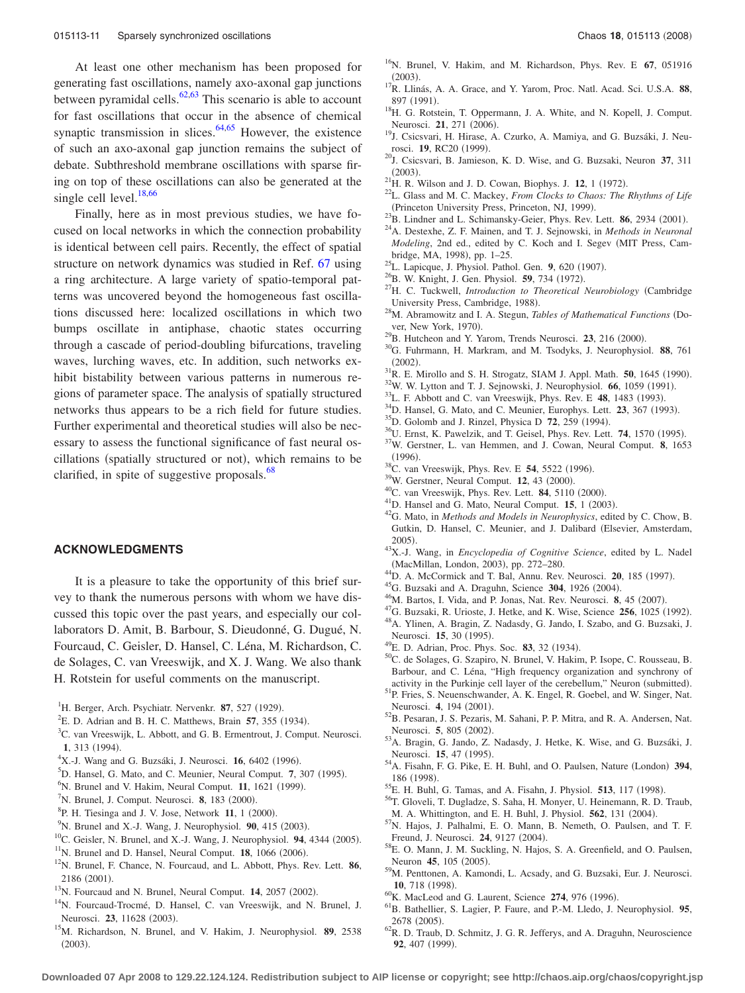At least one other mechanism has been proposed for generating fast oscillations, namely axo-axonal gap junctions between pyramidal cells. $\frac{62,63}{ }$  $\frac{62,63}{ }$  $\frac{62,63}{ }$  This scenario is able to account for fast oscillations that occur in the absence of chemical synaptic transmission in slices. $64,65$  $64,65$  However, the existence of such an axo-axonal gap junction remains the subject of debate. Subthreshold membrane oscillations with sparse firing on top of these oscillations can also be generated at the single cell level. $18,66$  $18,66$ 

Finally, here as in most previous studies, we have focused on local networks in which the connection probability is identical between cell pairs. Recently, the effect of spatial structure on network dynamics was studied in Ref. [67](#page-11-4) using a ring architecture. A large variety of spatio-temporal patterns was uncovered beyond the homogeneous fast oscillations discussed here: localized oscillations in which two bumps oscillate in antiphase, chaotic states occurring through a cascade of period-doubling bifurcations, traveling waves, lurching waves, etc. In addition, such networks exhibit bistability between various patterns in numerous regions of parameter space. The analysis of spatially structured networks thus appears to be a rich field for future studies. Further experimental and theoretical studies will also be necessary to assess the functional significance of fast neural oscillations (spatially structured or not), which remains to be clarified, in spite of suggestive proposals. $68$ 

## **ACKNOWLEDGMENTS**

It is a pleasure to take the opportunity of this brief survey to thank the numerous persons with whom we have discussed this topic over the past years, and especially our collaborators D. Amit, B. Barbour, S. Dieudonné, G. Dugué, N. Fourcaud, C. Geisler, D. Hansel, C. Léna, M. Richardson, C. de Solages, C. van Vreeswijk, and X. J. Wang. We also thank H. Rotstein for useful comments on the manuscript.

- <span id="page-10-0"></span><sup>1</sup>H. Berger, Arch. Psychiatr. Nervenkr. **87**, 527 (1929).
- <span id="page-10-1"></span><sup>2</sup>E. D. Adrian and B. H. C. Matthews, Brain 57, 355 (1934).
- <span id="page-10-2"></span><sup>3</sup>C. van Vreeswijk, L. Abbott, and G. B. Ermentrout, J. Comput. Neurosci. 1, 313 (1994).
- <span id="page-10-3"></span><sup>4</sup>X.-J. Wang and G. Buzsáki, J. Neurosci. **16**, 6402 (1996).
- <span id="page-10-4"></span><sup>5</sup>D. Hansel, G. Mato, and C. Meunier, Neural Comput. 7, 307 (1995).
- <span id="page-10-5"></span><sup>6</sup>N. Brunel and V. Hakim, Neural Comput. **11**, 1621 (1999).
- <span id="page-10-6"></span><sup>7</sup>N. Brunel, J. Comput. Neurosci. **8**, 183 (2000).
- <span id="page-10-51"></span><sup>8</sup>P. H. Tiesinga and J. V. Jose, Network 11, 1 (2000).
- <span id="page-10-8"></span><sup>9</sup>N. Brunel and X.-J. Wang, J. Neurophysiol. **90**, 415 (2003).
- <span id="page-10-27"></span> $^{10}$ C. Geisler, N. Brunel, and X.-J. Wang, J. Neurophysiol. **94**, 4344 (2005).
- <span id="page-10-7"></span> $11$ <sup>N</sup>. Brunel and D. Hansel, Neural Comput. **18**, 1066 (2006).
- <span id="page-10-9"></span>12N. Brunel, F. Chance, N. Fourcaud, and L. Abbott, Phys. Rev. Lett. **86**, 2186 (2001).
- <span id="page-10-10"></span> $13$ N. Fourcaud and N. Brunel, Neural Comput.  $14$ , 2057 (2002).
- <span id="page-10-11"></span><sup>14</sup>N. Fourcaud-Trocmé, D. Hansel, C. van Vreeswijk, and N. Brunel, J. Neurosci. 23, 11628 (2003).
- <span id="page-10-12"></span>15M. Richardson, N. Brunel, and V. Hakim, J. Neurophysiol. **89**, 2538  $(2003).$
- <span id="page-10-13"></span>16N. Brunel, V. Hakim, and M. Richardson, Phys. Rev. E **67**, 051916  $(2003)$
- <span id="page-10-14"></span>. 17R. Llinás, A. A. Grace, and Y. Yarom, Proc. Natl. Acad. Sci. U.S.A. **<sup>88</sup>**, 897 (1991).
- <span id="page-10-15"></span><sup>18</sup>H. G. Rotstein, T. Oppermann, J. A. White, and N. Kopell, J. Comput. Neurosci. 21, 271 (2006).
- <span id="page-10-16"></span><sup>19</sup>J. Csicsvari, H. Hirase, A. Czurko, A. Mamiya, and G. Buzsáki, J. Neurosci. **19**, RC20 (1999).
- <span id="page-10-17"></span>. 20J. Csicsvari, B. Jamieson, K. D. Wise, and G. Buzsaki, Neuron **<sup>37</sup>**, 311  $(2003)$ .
- <span id="page-10-18"></span><sup>21</sup>H. R. Wilson and J. D. Cowan, Biophys. J. **12**, 1 (1972).
- <span id="page-10-19"></span>. 22L. Glass and M. C. Mackey, *From Clocks to Chaos: The Rhythms of Life* (Princeton University Press, Princeton, NJ, 1999).
- <span id="page-10-20"></span><sup>23</sup>B. Lindner and L. Schimansky-Geier, Phys. Rev. Lett. **86**, 2934 (2001).
- <span id="page-10-21"></span>. 24A. Destexhe, Z. F. Mainen, and T. J. Sejnowski, in *Methods in Neuronal Modeling*, 2nd ed., edited by C. Koch and I. Segev MIT Press, Cambridge, MA, 1998), pp. 1-25.
- <span id="page-10-22"></span><sup>25</sup>L. Lapicque, J. Physiol. Pathol. Gen. **9**, 620 (1907).
- <span id="page-10-30"></span><sup>26</sup>B. W. Knight, J. Gen. Physiol. **59**, 734 (1972).
- <span id="page-10-23"></span><sup>27</sup>H. C. Tuckwell, *Introduction to Theoretical Neurobiology* (Cambridge University Press, Cambridge, 1988).
- <span id="page-10-24"></span><sup>28</sup>M. Abramowitz and I. A. Stegun, *Tables of Mathematical Functions* (Dover, New York, 1970).
- <span id="page-10-25"></span><sup>29</sup>B. Hutcheon and Y. Yarom, Trends Neurosci. **23**, 216 (2000).
- <span id="page-10-26"></span>. 30G. Fuhrmann, H. Markram, and M. Tsodyks, J. Neurophysiol. **<sup>88</sup>**, 761  $(2002)$ .
- <span id="page-10-28"></span><sup>31</sup>R. E. Mirollo and S. H. Strogatz, SIAM J. Appl. Math. **50**, 1645 (1990).
- <sup>32</sup>W. W. Lytton and T. J. Sejnowski, J. Neurophysiol. **66**, 1059 (1991).
- <sup>33</sup>L. F. Abbott and C. van Vreeswijk, Phys. Rev. E **48**, 1483 (1993).
- <sup>33</sup>L. F. Abbott and C. van Vreeswijk, Phys. Rev. E **48**, 1483 (1993).<br><sup>34</sup>D. Hansel, G. Mato, and C. Meunier, Europhys. Lett. **23**, 367 (1993) <sup>34</sup>D. Hansel, G. Mato, and C. Meunier, Europhys. Lett. **23**, 367 (1993).<br><sup>35</sup>D. Golomb and J. Rinzel, Physica D **72**, 259 (1994).
- 
- $^{35}$ D. Golomb and J. Rinzel, Physica D **72**, 259 (1994).<br> $^{36}$ U. Ernst, K. Pawelzik, and T. Geisel, Phys. Rev. Lett. **74**, 1570 (1995).
- . 37W. Gerstner, L. van Hemmen, and J. Cowan, Neural Comput. **<sup>8</sup>**, 1653  $(1996).$
- <sup>38</sup>C. van Vreeswijk, Phys. Rev. E **54**, 5522 (1996).
- <span id="page-10-31"></span><sup>39</sup>W. Gerstner, Neural Comput. **12**, 43 (2000).
- <sup>40</sup>C. van Vreeswijk, Phys. Rev. Lett. **84**, 5110 (2000).
- $^{41}$ D. Hansel and G. Mato, Neural Comput. **15**, 1 (2003).
- <span id="page-10-29"></span>. 42G. Mato, in *Methods and Models in Neurophysics*, edited by C. Chow, B. Gutkin, D. Hansel, C. Meunier, and J. Dalibard (Elsevier, Amsterdam, 2005)
- <span id="page-10-32"></span>. 43X.-J. Wang, in *Encyclopedia of Cognitive Science*, edited by L. Nadel (MacMillan, London, 2003), pp. 272-280.
- <span id="page-10-33"></span><sup>44</sup>D. A. McCormick and T. Bal, Annu. Rev. Neurosci. **20**, 185 (1997).
- <span id="page-10-34"></span><sup>45</sup>G. Buzsaki and A. Draguhn, Science **304**, 1926 (2004).
- <span id="page-10-35"></span><sup>46</sup>M. Bartos, I. Vida, and P. Jonas, Nat. Rev. Neurosci. **8**, 45 (2007).
- <span id="page-10-36"></span><sup>47</sup>G. Buzsaki, R. Urioste, J. Hetke, and K. Wise, Science **256**, 1025 (1992).
- <span id="page-10-37"></span>. 48A. Ylinen, A. Bragin, Z. Nadasdy, G. Jando, I. Szabo, and G. Buzsaki, J. Neurosci. **15**, 30 (1995).
- <span id="page-10-38"></span><sup>49</sup>E. D. Adrian, Proc. Phys. Soc. **83**, 32 (1934).
- <span id="page-10-39"></span>. 50C. de Solages, G. Szapiro, N. Brunel, V. Hakim, P. Isope, C. Rousseau, B. Barbour, and C. Léna, "High frequency organization and synchrony of activity in the Purkinje cell layer of the cerebellum," Neuron (submitted).
- <span id="page-10-40"></span><sup>51</sup>P. Fries, S. Neuenschwander, A. K. Engel, R. Goebel, and W. Singer, Nat. Neurosci. 4, 194 (2001).
- <span id="page-10-41"></span>. 52B. Pesaran, J. S. Pezaris, M. Sahani, P. P. Mitra, and R. A. Andersen, Nat. Neurosci. 5, 805 (2002).
- <span id="page-10-42"></span>. 53A. Bragin, G. Jando, Z. Nadasdy, J. Hetke, K. Wise, and G. Buzsáki, J. Neurosci. **15**, 47 (1995).
- <span id="page-10-43"></span>Neurosci. **15**, 47 (1995).<br><sup>54</sup>A. Fisahn, F. G. Pike, E. H. Buhl, and O. Paulsen, Nature (London) **394**, 186 (1998).
- <span id="page-10-44"></span>. 55E. H. Buhl, G. Tamas, and A. Fisahn, J. Physiol. **<sup>513</sup>**, 117 1998-
- <span id="page-10-45"></span>. 56T. Gloveli, T. Dugladze, S. Saha, H. Monyer, U. Heinemann, R. D. Traub, M. A. Whittington, and E. H. Buhl, J. Physiol. **562**, 131 (2004).
- <span id="page-10-46"></span>. 57N. Hajos, J. Palhalmi, E. O. Mann, B. Nemeth, O. Paulsen, and T. F. Freund, J. Neurosci. **24**, 9127 (2004).
- <span id="page-10-47"></span>. 58E. O. Mann, J. M. Suckling, N. Hajos, S. A. Greenfield, and O. Paulsen, Neuron 45, 105 (2005).
- <span id="page-10-48"></span>. 59M. Penttonen, A. Kamondi, L. Acsady, and G. Buzsaki, Eur. J. Neurosci. **10.** 718 (1998).
- <span id="page-10-49"></span><sup>60</sup>K. MacLeod and G. Laurent, Science **274**, 976 (1996).
- <span id="page-10-50"></span>. 61B. Bathellier, S. Lagier, P. Faure, and P.-M. Lledo, J. Neurophysiol. **<sup>95</sup>**, 2678 (2005).
- <span id="page-10-52"></span>. 62R. D. Traub, D. Schmitz, J. G. R. Jefferys, and A. Draguhn, Neuroscience 92, 407 (1999).